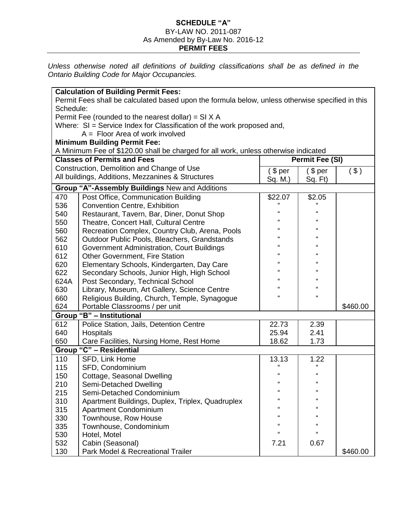## **SCHEDULE "A"** BY-LAW NO. 2011-087 As Amended by By-Law No. 2016-12

## **PERMIT FEES**

*Unless otherwise noted all definitions of building classifications shall be as defined in the Ontario Building Code for Major Occupancies.*

|                                                                                     | <b>Calculation of Building Permit Fees:</b>                                                      |                        |              |          |  |  |  |
|-------------------------------------------------------------------------------------|--------------------------------------------------------------------------------------------------|------------------------|--------------|----------|--|--|--|
|                                                                                     | Permit Fees shall be calculated based upon the formula below, unless otherwise specified in this |                        |              |          |  |  |  |
| Schedule:                                                                           |                                                                                                  |                        |              |          |  |  |  |
|                                                                                     | Permit Fee (rounded to the nearest dollar) = $SI X A$                                            |                        |              |          |  |  |  |
| Where: SI = Service Index for Classification of the work proposed and,              |                                                                                                  |                        |              |          |  |  |  |
| $A =$ Floor Area of work involved                                                   |                                                                                                  |                        |              |          |  |  |  |
|                                                                                     | <b>Minimum Building Permit Fee:</b>                                                              |                        |              |          |  |  |  |
| A Minimum Fee of \$120.00 shall be charged for all work, unless otherwise indicated |                                                                                                  |                        |              |          |  |  |  |
|                                                                                     | <b>Classes of Permits and Fees</b>                                                               | <b>Permit Fee (SI)</b> |              |          |  |  |  |
| Construction, Demolition and Change of Use                                          |                                                                                                  | \$per                  | \$per        | $($ \$)  |  |  |  |
|                                                                                     | All buildings, Additions, Mezzanines & Structures                                                | Sq. M.)                | Sq. Ft)      |          |  |  |  |
|                                                                                     | Group "A"-Assembly Buildings New and Additions                                                   |                        |              |          |  |  |  |
| 470                                                                                 | Post Office, Communication Building                                                              | \$22.07                | \$2.05       |          |  |  |  |
| 536                                                                                 | <b>Convention Centre, Exhibition</b>                                                             | $\alpha$               |              |          |  |  |  |
| 540                                                                                 | Restaurant, Tavern, Bar, Diner, Donut Shop                                                       | $\epsilon$             | $\epsilon$   |          |  |  |  |
| 550                                                                                 | Theatre, Concert Hall, Cultural Centre                                                           | $\epsilon$             | $\Omega$     |          |  |  |  |
| 560                                                                                 | Recreation Complex, Country Club, Arena, Pools                                                   | $\epsilon$             | $\Omega$     |          |  |  |  |
| 562                                                                                 | Outdoor Public Pools, Bleachers, Grandstands                                                     | $\epsilon$             | $\epsilon$   |          |  |  |  |
| 610                                                                                 | Government Administration, Court Buildings                                                       | $\epsilon$             | $\epsilon$   |          |  |  |  |
| 612                                                                                 | Other Government, Fire Station                                                                   | $\epsilon$             | $\epsilon$   |          |  |  |  |
| 620                                                                                 | Elementary Schools, Kindergarten, Day Care                                                       | $\epsilon$             | $\epsilon$   |          |  |  |  |
| 622                                                                                 | Secondary Schools, Junior High, High School                                                      | $\epsilon$             | $\epsilon$   |          |  |  |  |
| 624A                                                                                | Post Secondary, Technical School                                                                 | $\alpha$               | $\mathbf{G}$ |          |  |  |  |
| 630                                                                                 | Library, Museum, Art Gallery, Science Centre                                                     | $\epsilon$             | $\epsilon$   |          |  |  |  |
| 660                                                                                 | Religious Building, Church, Temple, Synagogue                                                    | $\epsilon$             | $\epsilon$   |          |  |  |  |
| 624                                                                                 | Portable Classrooms / per unit                                                                   |                        |              | \$460.00 |  |  |  |
|                                                                                     | Group "B" - Institutional                                                                        |                        |              |          |  |  |  |
| 612                                                                                 | Police Station, Jails, Detention Centre                                                          | 22.73                  | 2.39         |          |  |  |  |
| 640                                                                                 | Hospitals                                                                                        | 25.94                  | 2.41         |          |  |  |  |
| 650                                                                                 | Care Facilities, Nursing Home, Rest Home                                                         | 18.62                  | 1.73         |          |  |  |  |
| Group                                                                               | "C" - Residential                                                                                |                        |              |          |  |  |  |
| 110                                                                                 | SFD, Link Home                                                                                   | 13.13                  | 1.22         |          |  |  |  |
| 115                                                                                 | SFD, Condominium                                                                                 | $\pmb{\mathfrak{c}}$   | $\Omega$     |          |  |  |  |
| 150                                                                                 | Cottage, Seasonal Dwelling                                                                       | $\epsilon$             | $\epsilon$   |          |  |  |  |
| 210                                                                                 | <b>Semi-Detached Dwelling</b>                                                                    | $\epsilon$             | $\epsilon$   |          |  |  |  |
| 215                                                                                 | Semi-Detached Condominium                                                                        | $\epsilon$             | $\epsilon$   |          |  |  |  |
| 310                                                                                 | Apartment Buildings, Duplex, Triplex, Quadruplex                                                 | $\epsilon$             | $\mathbf{G}$ |          |  |  |  |
| 315                                                                                 | Apartment Condominium                                                                            | $\epsilon$             | $\epsilon$   |          |  |  |  |
| 330                                                                                 | Townhouse, Row House                                                                             | $\epsilon$             | $\epsilon$   |          |  |  |  |
| 335                                                                                 | Townhouse, Condominium                                                                           | $\epsilon$             | $\Omega$     |          |  |  |  |
| 530                                                                                 | Hotel, Motel                                                                                     | $\epsilon$             | $\epsilon$   |          |  |  |  |
| 532                                                                                 | Cabin (Seasonal)                                                                                 | 7.21                   | 0.67         |          |  |  |  |
| 130                                                                                 | Park Model & Recreational Trailer                                                                |                        |              | \$460.00 |  |  |  |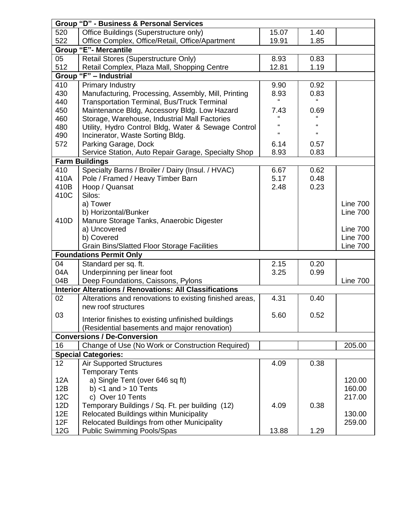| <b>Group "D" - Business &amp; Personal Services</b> |                                                                |            |            |                 |  |  |  |
|-----------------------------------------------------|----------------------------------------------------------------|------------|------------|-----------------|--|--|--|
| 520                                                 | Office Buildings (Superstructure only)                         | 15.07      | 1.40       |                 |  |  |  |
| 522                                                 | Office Complex, Office/Retail, Office/Apartment                | 19.91      | 1.85       |                 |  |  |  |
| <b>Group "E"- Mercantile</b>                        |                                                                |            |            |                 |  |  |  |
| 05                                                  | Retail Stores (Superstructure Only)                            | 8.93       | 0.83       |                 |  |  |  |
| 512                                                 | Retail Complex, Plaza Mall, Shopping Centre                    | 12.81      | 1.19       |                 |  |  |  |
|                                                     | Group "F" - Industrial                                         |            |            |                 |  |  |  |
| 410                                                 | <b>Primary Industry</b>                                        | 9.90       | 0.92       |                 |  |  |  |
| 430                                                 | Manufacturing, Processing, Assembly, Mill, Printing            | 8.93       | 0.83       |                 |  |  |  |
| 440                                                 | <b>Transportation Terminal, Bus/Truck Terminal</b>             | £          |            |                 |  |  |  |
| 450                                                 | Maintenance Bldg, Accessory Bldg. Low Hazard                   | 7.43       | 0.69       |                 |  |  |  |
| 460                                                 | Storage, Warehouse, Industrial Mall Factories                  |            |            |                 |  |  |  |
| 480                                                 | Utility, Hydro Control Bldg, Water & Sewage Control            | $\epsilon$ | $\Omega$   |                 |  |  |  |
| 490                                                 | Incinerator, Waste Sorting Bldg.                               | $\epsilon$ | $\epsilon$ |                 |  |  |  |
| 572                                                 | Parking Garage, Dock                                           | 6.14       | 0.57       |                 |  |  |  |
|                                                     | Service Station, Auto Repair Garage, Specialty Shop            | 8.93       | 0.83       |                 |  |  |  |
|                                                     | <b>Farm Buildings</b>                                          |            |            |                 |  |  |  |
| 410                                                 | Specialty Barns / Broiler / Dairy (Insul. / HVAC)              | 6.67       | 0.62       |                 |  |  |  |
| 410A                                                | Pole / Framed / Heavy Timber Barn                              | 5.17       | 0.48       |                 |  |  |  |
| 410B                                                | Hoop / Quansat                                                 | 2.48       | 0.23       |                 |  |  |  |
| 410C                                                | Silos:                                                         |            |            |                 |  |  |  |
|                                                     | a) Tower                                                       |            |            | <b>Line 700</b> |  |  |  |
|                                                     | b) Horizontal/Bunker                                           |            |            | <b>Line 700</b> |  |  |  |
| 410D                                                | Manure Storage Tanks, Anaerobic Digester                       |            |            |                 |  |  |  |
|                                                     | a) Uncovered                                                   |            |            | <b>Line 700</b> |  |  |  |
|                                                     | b) Covered                                                     |            |            | <b>Line 700</b> |  |  |  |
|                                                     | <b>Grain Bins/Slatted Floor Storage Facilities</b>             |            |            | <b>Line 700</b> |  |  |  |
|                                                     | <b>Foundations Permit Only</b>                                 |            |            |                 |  |  |  |
| 04                                                  | Standard per sq. ft.                                           | 2.15       | 0.20       |                 |  |  |  |
| 04A                                                 | Underpinning per linear foot                                   | 3.25       | 0.99       |                 |  |  |  |
| 04B                                                 | Deep Foundations, Caissons, Pylons                             |            |            | <b>Line 700</b> |  |  |  |
|                                                     | <b>Interior Alterations / Renovations: All Classifications</b> |            |            |                 |  |  |  |
| 02                                                  | Alterations and renovations to existing finished areas,        | 4.31       | 0.40       |                 |  |  |  |
|                                                     | new roof structures                                            |            |            |                 |  |  |  |
| 03                                                  | Interior finishes to existing unfinished buildings             | 5.60       | 0.52       |                 |  |  |  |
|                                                     | (Residential basements and major renovation)                   |            |            |                 |  |  |  |
| <b>Conversions / De-Conversion</b>                  |                                                                |            |            |                 |  |  |  |
| 16                                                  | Change of Use (No Work or Construction Required)               |            |            | 205.00          |  |  |  |
|                                                     | <b>Special Categories:</b>                                     |            |            |                 |  |  |  |
| 12                                                  | <b>Air Supported Structures</b>                                | 4.09       | 0.38       |                 |  |  |  |
|                                                     | <b>Temporary Tents</b>                                         |            |            |                 |  |  |  |
| 12A                                                 | a) Single Tent (over 646 sq ft)                                |            |            | 120.00          |  |  |  |
| 12B                                                 | b) $<$ 1 and $>$ 10 Tents                                      |            |            | 160.00          |  |  |  |
| 12C                                                 | c) Over 10 Tents                                               |            |            | 217.00          |  |  |  |
| <b>12D</b>                                          | Temporary Buildings / Sq. Ft. per building (12)                | 4.09       | 0.38       |                 |  |  |  |
| 12E                                                 | Relocated Buildings within Municipality                        |            |            | 130.00          |  |  |  |
| 12F                                                 | Relocated Buildings from other Municipality                    |            |            | 259.00          |  |  |  |
| 12G                                                 | <b>Public Swimming Pools/Spas</b>                              | 13.88      | 1.29       |                 |  |  |  |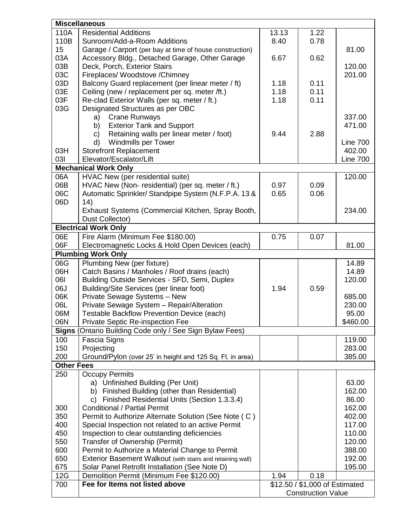|                   | <b>Miscellaneous</b>                                       |                                |      |                 |  |  |  |
|-------------------|------------------------------------------------------------|--------------------------------|------|-----------------|--|--|--|
| 110A              | <b>Residential Additions</b>                               | 13.13                          | 1.22 |                 |  |  |  |
| 110B              | Sunroom/Add-a-Room Additions                               | 8.40                           | 0.78 |                 |  |  |  |
| 15                | Garage / Carport (per bay at time of house construction)   |                                |      | 81.00           |  |  |  |
| 03A               | Accessory Bldg., Detached Garage, Other Garage             | 6.67                           | 0.62 |                 |  |  |  |
| 03B               | Deck, Porch, Exterior Stairs                               |                                |      | 120.00          |  |  |  |
| 03C               | Fireplaces/ Woodstove / Chimney                            |                                |      | 201.00          |  |  |  |
| 03D               | Balcony Guard replacement (per linear meter / ft)          | 1.18                           | 0.11 |                 |  |  |  |
| 03E               | Ceiling (new / replacement per sq. meter /ft.)             | 1.18                           | 0.11 |                 |  |  |  |
| 03F               | Re-clad Exterior Walls (per sq. meter / ft.)               | 1.18                           | 0.11 |                 |  |  |  |
| 03G               | Designated Structures as per OBC                           |                                |      |                 |  |  |  |
|                   | <b>Crane Runways</b><br>a)                                 |                                |      | 337.00          |  |  |  |
|                   | <b>Exterior Tank and Support</b><br>b)                     |                                |      | 471.00          |  |  |  |
|                   | Retaining walls per linear meter / foot)<br>C)             | 9.44                           | 2.88 |                 |  |  |  |
|                   | <b>Windmills per Tower</b><br>d)                           |                                |      | <b>Line 700</b> |  |  |  |
| 03H               | <b>Storefront Replacement</b>                              |                                |      | 402.00          |  |  |  |
| 031               | Elevator/Escalator/Lift                                    |                                |      | <b>Line 700</b> |  |  |  |
|                   | <b>Mechanical Work Only</b>                                |                                |      |                 |  |  |  |
| 06A               | HVAC New (per residential suite)                           |                                |      | 120.00          |  |  |  |
| 06B               | HVAC New (Non-residential) (per sq. meter / ft.)           | 0.97                           | 0.09 |                 |  |  |  |
| 06C               | Automatic Sprinkler/ Standpipe System (N.F.P.A. 13 &       | 0.65                           | 0.06 |                 |  |  |  |
| 06D               | 14)                                                        |                                |      |                 |  |  |  |
|                   | Exhaust Systems (Commercial Kitchen, Spray Booth,          |                                |      | 234.00          |  |  |  |
|                   | Dust Collector)                                            |                                |      |                 |  |  |  |
|                   | <b>Electrical Work Only</b>                                |                                |      |                 |  |  |  |
| 06E               | Fire Alarm (Minimum Fee \$180.00)                          | 0.75                           | 0.07 |                 |  |  |  |
| 06F               | Electromagnetic Locks & Hold Open Devices (each)           |                                |      | 81.00           |  |  |  |
|                   | <b>Plumbing Work Only</b>                                  |                                |      |                 |  |  |  |
| 06G               | Plumbing New (per fixture)                                 |                                |      | 14.89           |  |  |  |
| 06H               | Catch Basins / Manholes / Roof drains (each)               |                                |      | 14.89           |  |  |  |
| 061               | Building Outside Services - SFD, Semi, Duplex              |                                |      | 120.00          |  |  |  |
| 06J               | Building/Site Services (per linear foot)                   | 1.94                           | 0.59 |                 |  |  |  |
| 06K               | Private Sewage Systems - New                               |                                |      | 685.00          |  |  |  |
| 06L               | Private Sewage System - Repair/Alteration                  |                                |      | 230.00          |  |  |  |
| 06M               | Testable Backflow Prevention Device (each)                 |                                |      | 95.00           |  |  |  |
| 06N               | Private Septic Re-inspection Fee                           |                                |      | \$460.00        |  |  |  |
| Signs (           | Ontario Building Code only / See Sign Bylaw Fees)          |                                |      |                 |  |  |  |
| 100               | Fascia Signs                                               |                                |      | 119.00          |  |  |  |
| 150               | Projecting                                                 |                                |      | 283.00          |  |  |  |
| 200               | Ground/Pylon (over 25' in height and 125 Sq. Ft. in area)  |                                |      | 385.00          |  |  |  |
| <b>Other Fees</b> |                                                            |                                |      |                 |  |  |  |
| 250               | <b>Occupy Permits</b>                                      |                                |      |                 |  |  |  |
|                   | a) Unfinished Building (Per Unit)                          |                                |      | 63.00           |  |  |  |
|                   | b) Finished Building (other than Residential)              |                                |      | 162.00          |  |  |  |
|                   | Finished Residential Units (Section 1.3.3.4)<br>C)         |                                |      | 86.00           |  |  |  |
| 300               | <b>Conditional / Partial Permit</b>                        |                                |      | 162.00          |  |  |  |
| 350               | Permit to Authorize Alternate Solution (See Note (C)       |                                |      | 402.00          |  |  |  |
| 400               | Special Inspection not related to an active Permit         |                                |      | 117.00          |  |  |  |
| 450               | Inspection to clear outstanding deficiencies               |                                |      | 110.00          |  |  |  |
| 550               | Transfer of Ownership (Permit)                             |                                |      | 120.00          |  |  |  |
| 600               | Permit to Authorize a Material Change to Permit            |                                |      | 388.00          |  |  |  |
| 650               | Exterior Basement Walkout (with stairs and retaining wall) |                                |      | 192.00          |  |  |  |
| 675               | Solar Panel Retrofit Installation (See Note D)             |                                |      | 195.00          |  |  |  |
| 12G               | Demolition Permit (Minimum Fee \$120.00)                   | 1.94                           | 0.18 |                 |  |  |  |
| 700               | Fee for Items not listed above                             | \$12.50 / \$1,000 of Estimated |      |                 |  |  |  |
|                   |                                                            | <b>Construction Value</b>      |      |                 |  |  |  |